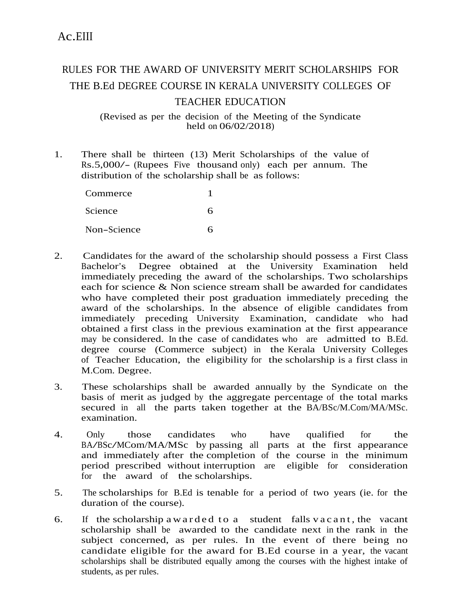## RULES FOR THE AWARD OF UNIVERSITY MERIT SCHOLARSHIPS FOR THE B.Ed DEGREE COURSE IN KERALA UNIVERSITY COLLEGES OF TEACHER EDUCATION

(Revised as per the decision of the Meeting of the Syndicate held on 06/02/2018)

1. There shall be thirteen (13) Merit Scholarships of the value of Rs.5,000/- (Rupees Five thousand only) each per annum. The distribution of the scholarship shall be as follows:

| Commerce    |   |
|-------------|---|
| Science     | 6 |
| Non-Science | հ |

- 2. Candidates for the award of the scholarship should possess a First Class Bachelor's Degree obtained at the University Examination held immediately preceding the award of the scholarships. Two scholarships each for science & Non science stream shall be awarded for candidates who have completed their post graduation immediately preceding the award of the scholarships. In the absence of eligible candidates from immediately preceding University Examination, candidate who had obtained a first class in the previous examination at the first appearance may be considered. In the case of candidates who are admitted to B.Ed. degree course (Commerce subject) in the Kerala University Colleges of Teacher Education, the eligibility for the scholarship is a first class in M.Com. Degree.
- 3. These scholarships shall be awarded annually by the Syndicate on the basis of merit as judged by the aggregate percentage of the total marks secured in all the parts taken together at the BA/BSc/M.Com/MA/MSc. examination.
- 4. Only those candidates who have qualified for the BA/BSc/MCom/MA/MSc by passing all parts at the first appearance and immediately after the completion of the course in the minimum period prescribed without interruption are eligible for consideration for the award of the scholarships.
- 5. The scholarships for B.Ed is tenable for a period of two years (ie. for the duration of the course).
- 6. If the scholarship a w arded to a student falls v a c a n t, the vacant scholarship shall be awarded to the candidate next in the rank in the subject concerned, as per rules. In the event of there being no candidate eligible for the award for B.Ed course in a year, the vacant scholarships shall be distributed equally among the courses with the highest intake of students, as per rules.